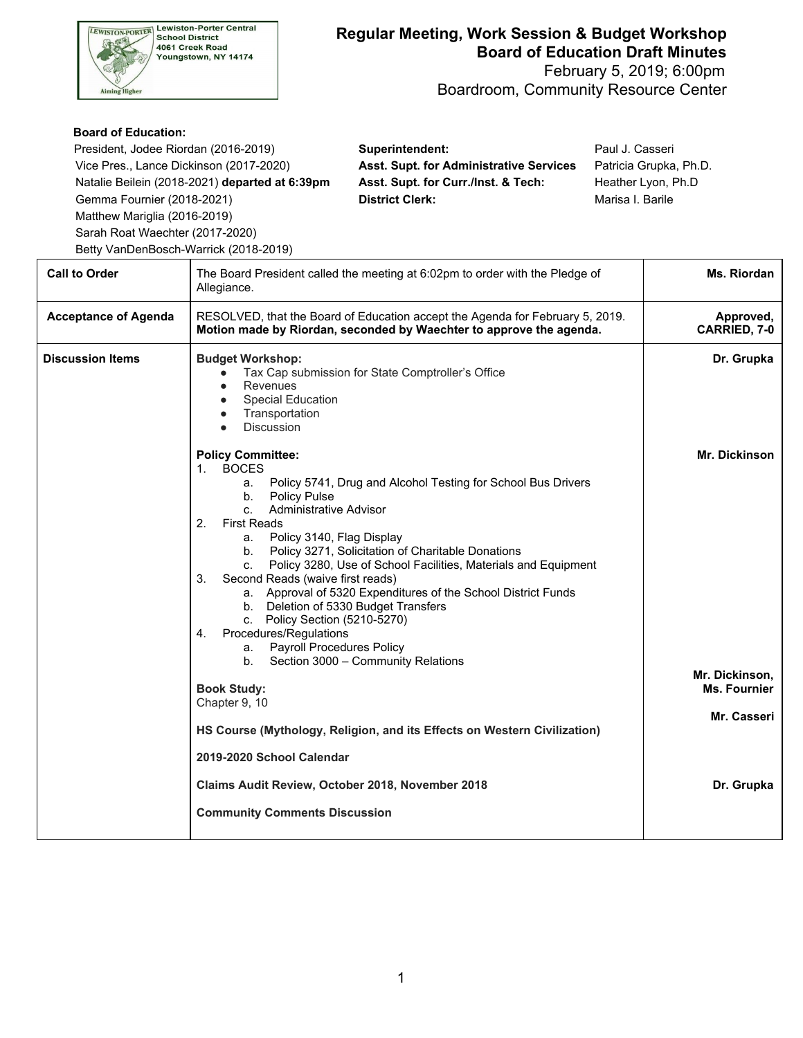

## **Regular Meeting, Work Session & Budget Workshop Board of Education Draft Minutes**

 February 5, 2019; 6:00pm Boardroom, Community Resource Center

## **Board of Education:**

| President, Jodee Riordan (2016-2019)           | Superintendent:                                | Paul J. Casseri        |
|------------------------------------------------|------------------------------------------------|------------------------|
| Vice Pres., Lance Dickinson (2017-2020)        | <b>Asst. Supt. for Administrative Services</b> | Patricia Grupka, Ph.D. |
| Natalie Beilein (2018-2021) departed at 6:39pm | Asst. Supt. for Curr./Inst. & Tech:            | Heather Lyon, Ph.D     |
| Gemma Fournier (2018-2021)                     | <b>District Clerk:</b>                         | Marisa I. Barile       |
| Matthew Mariglia (2016-2019)                   |                                                |                        |
| Sarah Boat Wasabter (2017-2020)                |                                                |                        |

Sarah Roat Waechter (2017-2020) Betty VanDenBosch-Warrick (2018-2019)

| <b>Call to Order</b>        | The Board President called the meeting at 6:02pm to order with the Pledge of<br>Allegiance.                                                                                                                                                                                                                                                                                                                                                                                                                                                                                                                                                                                                                                                                                                                                         |                                                                       |  |
|-----------------------------|-------------------------------------------------------------------------------------------------------------------------------------------------------------------------------------------------------------------------------------------------------------------------------------------------------------------------------------------------------------------------------------------------------------------------------------------------------------------------------------------------------------------------------------------------------------------------------------------------------------------------------------------------------------------------------------------------------------------------------------------------------------------------------------------------------------------------------------|-----------------------------------------------------------------------|--|
| <b>Acceptance of Agenda</b> | RESOLVED, that the Board of Education accept the Agenda for February 5, 2019.<br>Motion made by Riordan, seconded by Waechter to approve the agenda.                                                                                                                                                                                                                                                                                                                                                                                                                                                                                                                                                                                                                                                                                | Approved,<br>CARRIED, 7-0                                             |  |
| <b>Discussion Items</b>     | <b>Budget Workshop:</b><br>Tax Cap submission for State Comptroller's Office<br>Revenues<br><b>Special Education</b><br>Transportation<br>Discussion                                                                                                                                                                                                                                                                                                                                                                                                                                                                                                                                                                                                                                                                                | Dr. Grupka                                                            |  |
|                             | <b>Policy Committee:</b><br><b>BOCES</b><br>$1_{-}$<br>Policy 5741, Drug and Alcohol Testing for School Bus Drivers<br>а.<br><b>Policy Pulse</b><br>b.<br><b>Administrative Advisor</b><br>C <sub>1</sub><br>2.<br><b>First Reads</b><br>Policy 3140, Flag Display<br>а. –<br>b. Policy 3271, Solicitation of Charitable Donations<br>c. Policy 3280, Use of School Facilities, Materials and Equipment<br>Second Reads (waive first reads)<br>3.<br>a. Approval of 5320 Expenditures of the School District Funds<br>b. Deletion of 5330 Budget Transfers<br>c. Policy Section (5210-5270)<br>Procedures/Regulations<br>4.<br><b>Payroll Procedures Policy</b><br>а. –<br>b. Section 3000 - Community Relations<br><b>Book Study:</b><br>Chapter 9, 10<br>HS Course (Mythology, Religion, and its Effects on Western Civilization) | <b>Mr. Dickinson</b><br>Mr. Dickinson,<br>Ms. Fournier<br>Mr. Casseri |  |
|                             | 2019-2020 School Calendar<br>Claims Audit Review, October 2018, November 2018<br><b>Community Comments Discussion</b>                                                                                                                                                                                                                                                                                                                                                                                                                                                                                                                                                                                                                                                                                                               | Dr. Grupka                                                            |  |